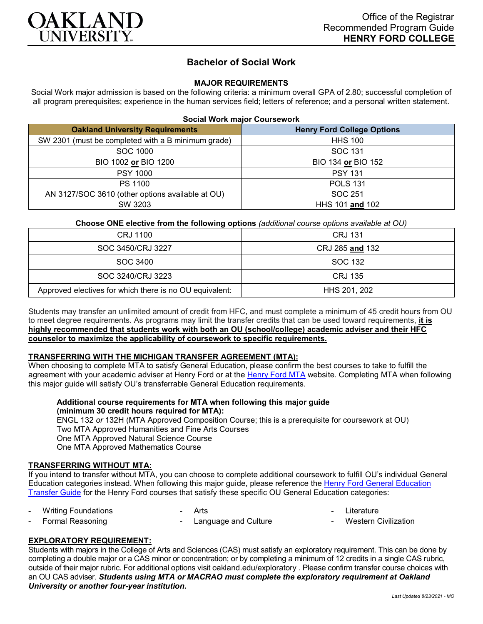

# **Bachelor of Social Work**

## **MAJOR REQUIREMENTS**

Social Work major admission is based on the following criteria: a minimum overall GPA of 2.80; successful completion of all program prerequisites; experience in the human services field; letters of reference; and a personal written statement.

| <b>Oakland University Requirements</b>             | <b>Henry Ford College Options</b> |
|----------------------------------------------------|-----------------------------------|
| SW 2301 (must be completed with a B minimum grade) | <b>HHS 100</b>                    |
| SOC 1000                                           | SOC 131                           |
| BIO 1002 or BIO 1200                               | BIO 134 or BIO 152                |
| <b>PSY 1000</b>                                    | <b>PSY 131</b>                    |
| PS 1100                                            | <b>POLS 131</b>                   |
| AN 3127/SOC 3610 (other options available at OU)   | SOC 251                           |
| SW 3203                                            | HHS 101 and 102                   |

**Choose ONE elective from the following options** *(additional course options available at OU)*

| CRJ 1100                                                | CRJ 131         |
|---------------------------------------------------------|-----------------|
| SOC 3450/CRJ 3227                                       | CRJ 285 and 132 |
| SOC 3400                                                | SOC 132         |
| SOC 3240/CRJ 3223                                       | CRJ 135         |
| Approved electives for which there is no OU equivalent: | HHS 201, 202    |

Students may transfer an unlimited amount of credit from HFC, and must complete a minimum of 45 credit hours from OU to meet degree requirements. As programs may limit the transfer credits that can be used toward requirements, **it is highly recommended that students work with both an OU (school/college) academic adviser and their HFC counselor to maximize the applicability of coursework to specific requirements.**

#### **TRANSFERRING WITH THE MICHIGAN TRANSFER AGREEMENT (MTA):**

When choosing to complete MTA to satisfy General Education, please confirm the best courses to take to fulfill the agreement with your academic adviser at Henry Ford or at the [Henry Ford MTA](https://catalog.hfcc.edu/degrees/gen-ed) website. Completing MTA when following this major guide will satisfy OU's transferrable General Education requirements.

### **Additional course requirements for MTA when following this major guide (minimum 30 credit hours required for MTA):**

ENGL 132 *or* 132H (MTA Approved Composition Course; this is a prerequisite for coursework at OU) Two MTA Approved Humanities and Fine Arts Courses One MTA Approved Natural Science Course One MTA Approved Mathematics Course

### **TRANSFERRING WITHOUT MTA:**

If you intend to transfer without MTA, you can choose to complete additional coursework to fulfill OU's individual General Education categories instead. When following this major guide, please reference the [Henry Ford General Education](https://www.oakland.edu/Assets/Oakland/program-guides/henry-ford-college/university-general-education-requirements/Henry%20Ford%20Gen%20Ed.pdf)  [Transfer Guide](https://www.oakland.edu/Assets/Oakland/program-guides/henry-ford-college/university-general-education-requirements/Henry%20Ford%20Gen%20Ed.pdf) for the Henry Ford courses that satisfy these specific OU General Education categories:

|  | <b>Writing Foundations</b> |  |
|--|----------------------------|--|
|--|----------------------------|--|

**Arts** 

- **Literature**
- Formal Reasoning Language and Culture
- **Western Civilization**

## **EXPLORATORY REQUIREMENT:**

Students with majors in the College of Arts and Sciences (CAS) must satisfy an exploratory requirement. This can be done by completing a double major or a CAS minor or concentration; or by completing a minimum of 12 credits in a single CAS rubric, outside of their major rubric. For additional options visit [oakland.edu/exploratory](http://www.oakland.edu/exploratory) . Please confirm transfer course choices with an OU CAS adviser. *Students using MTA or MACRAO must complete the exploratory requirement at Oakland University or another four-year institution.*